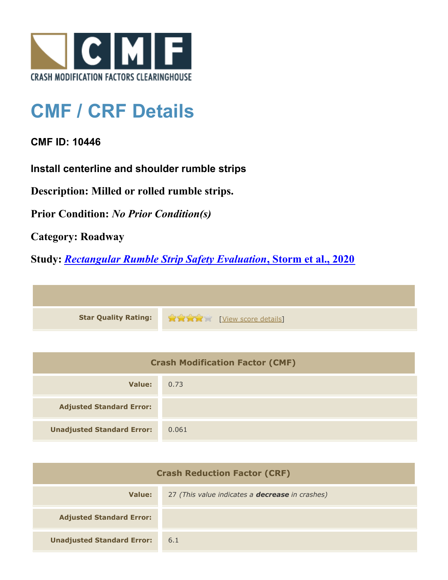

## **CMF / CRF Details**

## **CMF ID: 10446**

**Install centerline and shoulder rumble strips**

**Description: Milled or rolled rumble strips.**

**Prior Condition:** *No Prior Condition(s)*

**Category: Roadway**

**Study:** *[Rectangular Rumble Strip Safety Evaluation](http://www.cmfclearinghouse.org/study_detail.cfm?stid=606)***[, Storm et al., 2020](http://www.cmfclearinghouse.org/study_detail.cfm?stid=606)**

**Star Quality Rating: PRETAIL** [[View score details](http://www.cmfclearinghouse.org/score_details.cfm?facid=10446)]

| <b>Crash Modification Factor (CMF)</b> |       |  |
|----------------------------------------|-------|--|
| Value:                                 | 0.73  |  |
| <b>Adjusted Standard Error:</b>        |       |  |
| <b>Unadjusted Standard Error:</b>      | 0.061 |  |

| <b>Crash Reduction Factor (CRF)</b> |                                                        |  |
|-------------------------------------|--------------------------------------------------------|--|
| Value:                              | 27 (This value indicates a <b>decrease</b> in crashes) |  |
| <b>Adjusted Standard Error:</b>     |                                                        |  |
| <b>Unadjusted Standard Error:</b>   | 6.1                                                    |  |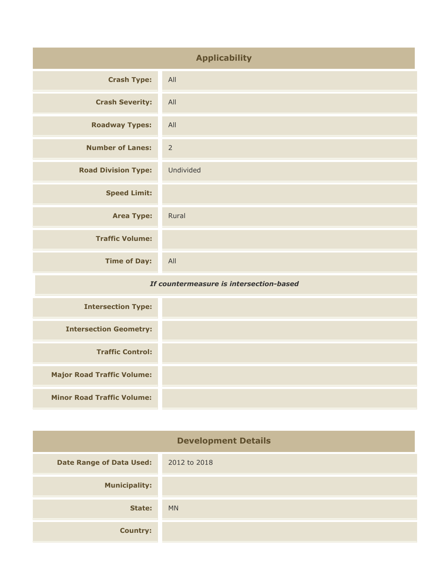| <b>Applicability</b>                    |                |
|-----------------------------------------|----------------|
| <b>Crash Type:</b>                      | All            |
| <b>Crash Severity:</b>                  | All            |
| <b>Roadway Types:</b>                   | All            |
| <b>Number of Lanes:</b>                 | $\overline{2}$ |
| <b>Road Division Type:</b>              | Undivided      |
| <b>Speed Limit:</b>                     |                |
| <b>Area Type:</b>                       | Rural          |
| <b>Traffic Volume:</b>                  |                |
| <b>Time of Day:</b>                     | All            |
| If countermeasure is intersection-based |                |
| <b>Intersection Type:</b>               |                |
| <b>Intersection Geometry:</b>           |                |
| <b>Traffic Control:</b>                 |                |
| <b>Major Road Traffic Volume:</b>       |                |
| <b>Minor Road Traffic Volume:</b>       |                |

| <b>Development Details</b>      |              |
|---------------------------------|--------------|
| <b>Date Range of Data Used:</b> | 2012 to 2018 |
| <b>Municipality:</b>            |              |
| State:                          | <b>MN</b>    |
| <b>Country:</b>                 |              |